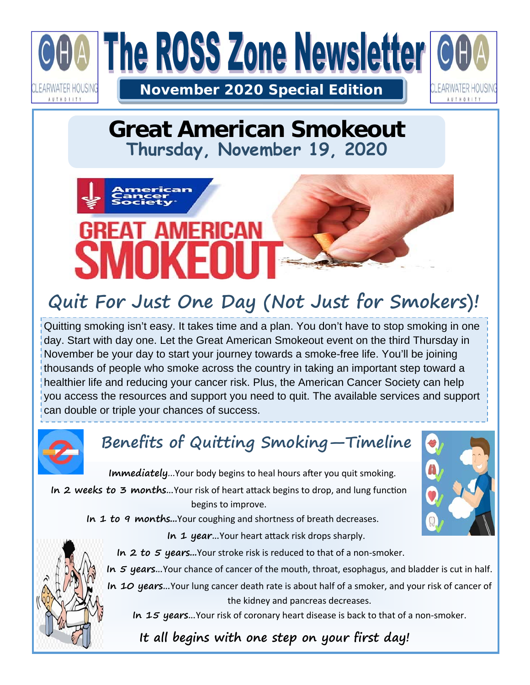

#### **Great American Smokeout Thursday, November 19, 2020**

# Ы

## **Quit For Just One Day (Not Just for Smokers)!**

Quitting smoking isn't easy. It takes time and a plan. You don't have to stop smoking in one day. Start with day one. Let the Great American Smokeout event on the third Thursday in November be your day to start your journey towards a smoke-free life. You'll be joining thousands of people who smoke across the country in taking an important step toward a healthier life and reducing your cancer risk. Plus, the American Cancer Society can help you access the resources and support you need to quit. The available services and support can double or triple your chances of success.



## **Benefits of Quitting Smoking—Timeline**

**Immediately...Your body begins to heal hours after you quit smoking.** In 2 weeks to 3 months...Your risk of heart attack begins to drop, and lung function begins to improve.

In 1 to 9 months...Your coughing and shortness of breath decreases.



In 2 to 5 years...Your stroke risk is reduced to that of a non-smoker.

**In 5 years…**Your chance of cancer of the mouth, throat, esophagus, and bladder is cut in half.

**In 10 years…**Your lung cancer death rate is about half of a smoker, and your risk of cancer of the kidney and pancreas decreases.

In 15 years... Your risk of coronary heart disease is back to that of a non-smoker.

 **It all begins with one step on your first day!**